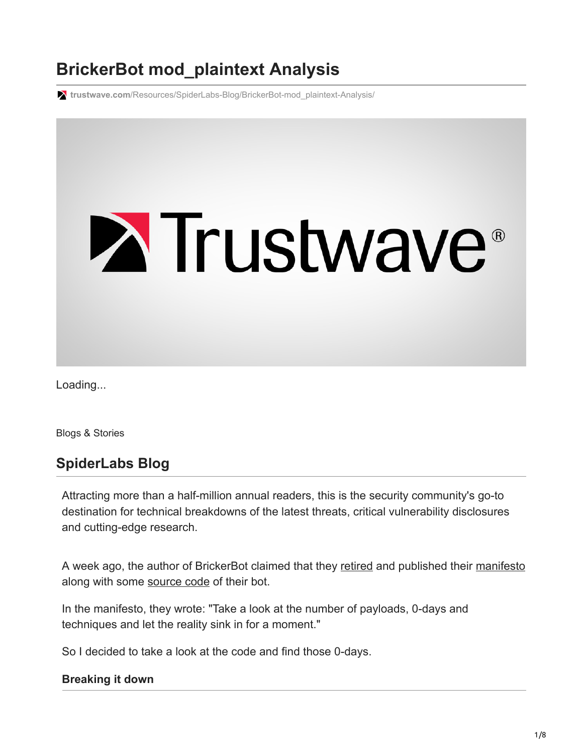# **BrickerBot mod\_plaintext Analysis**

**trustwave.com**[/Resources/SpiderLabs-Blog/BrickerBot-mod\\_plaintext-Analysis/](https://www.trustwave.com/Resources/SpiderLabs-Blog/BrickerBot-mod_plaintext-Analysis/)



Loading...

Blogs & Stories

# **SpiderLabs Blog**

Attracting more than a half-million annual readers, this is the security community's go-to destination for technical breakdowns of the latest threats, critical vulnerability disclosures and cutting-edge research.

A week ago, the author of BrickerBot claimed that they [retired](https://www.bleepingcomputer.com/news/security/brickerbot-author-retires-claiming-to-have-bricked-over-10-million-iot-devices/) and published their [manifesto](https://github.com/JeremyNGalloway/mod_plaintext.py/blob/master/Internet%20Chemotherapy) along with some [source code](https://github.com/JeremyNGalloway/mod_plaintext.py/blob/master/mod_plaintext.py) of their bot.

In the manifesto, they wrote: "Take a look at the number of payloads, 0-days and techniques and let the reality sink in for a moment."

So I decided to take a look at the code and find those 0-days.

#### **Breaking it down**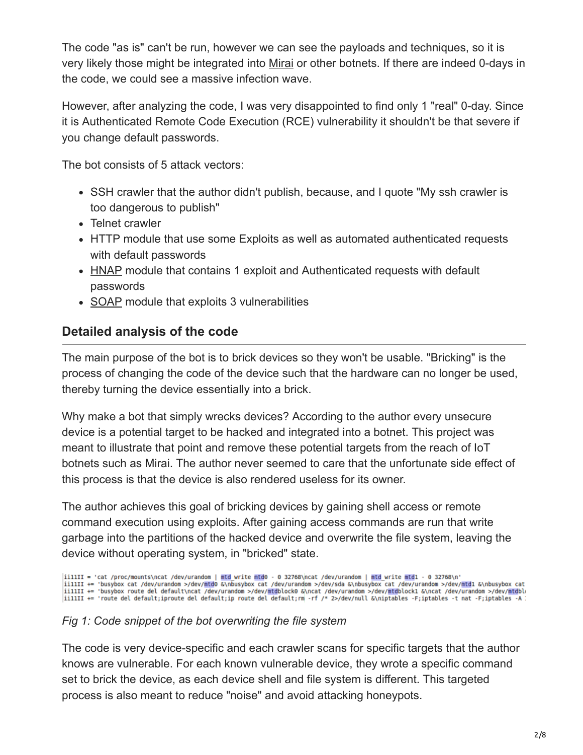The code "as is" can't be run, however we can see the payloads and techniques, so it is very likely those might be integrated into [Mirai](https://en.wikipedia.org/wiki/Mirai_(malware)) or other botnets. If there are indeed 0-days in the code, we could see a massive infection wave.

However, after analyzing the code, I was very disappointed to find only 1 "real" 0-day. Since it is Authenticated Remote Code Execution (RCE) vulnerability it shouldn't be that severe if you change default passwords.

The bot consists of 5 attack vectors:

- SSH crawler that the author didn't publish, because, and I quote "My ssh crawler is too dangerous to publish"
- Telnet crawler
- HTTP module that use some Exploits as well as automated authenticated requests with default passwords
- [HNAP](https://en.wikipedia.org/wiki/Home_Network_Administration_Protocol) module that contains 1 exploit and Authenticated requests with default passwords
- [SOAP](https://en.wikipedia.org/wiki/SOAP) module that exploits 3 vulnerabilities

## **Detailed analysis of the code**

The main purpose of the bot is to brick devices so they won't be usable. "Bricking" is the process of changing the code of the device such that the hardware can no longer be used, thereby turning the device essentially into a brick.

Why make a bot that simply wrecks devices? According to the author every unsecure device is a potential target to be hacked and integrated into a botnet. This project was meant to illustrate that point and remove these potential targets from the reach of IoT botnets such as Mirai. The author never seemed to care that the unfortunate side effect of this process is that the device is also rendered useless for its owner.

The author achieves this goal of bricking devices by gaining shell access or remote command execution using exploits. After gaining access commands are run that write garbage into the partitions of the hacked device and overwrite the file system, leaving the device without operating system, in "bricked" state.

iillII = 'cat /proc/mounts\ncat /dev/urandom | <mark>mtd</mark> write mtd0 - 0 32768\ncat /dev/urandom | mtd write mtd1 - 0 32768\n'<br>iillII += 'busybox cat /dev/urandom >/dev/mtd0 &\nbusybox cat /dev/urandom >/dev/sda &\nbusybox cat

#### *Fig 1: Code snippet of the bot overwriting the file system*

The code is very device-specific and each crawler scans for specific targets that the author knows are vulnerable. For each known vulnerable device, they wrote a specific command set to brick the device, as each device shell and file system is different. This targeted process is also meant to reduce "noise" and avoid attacking honeypots.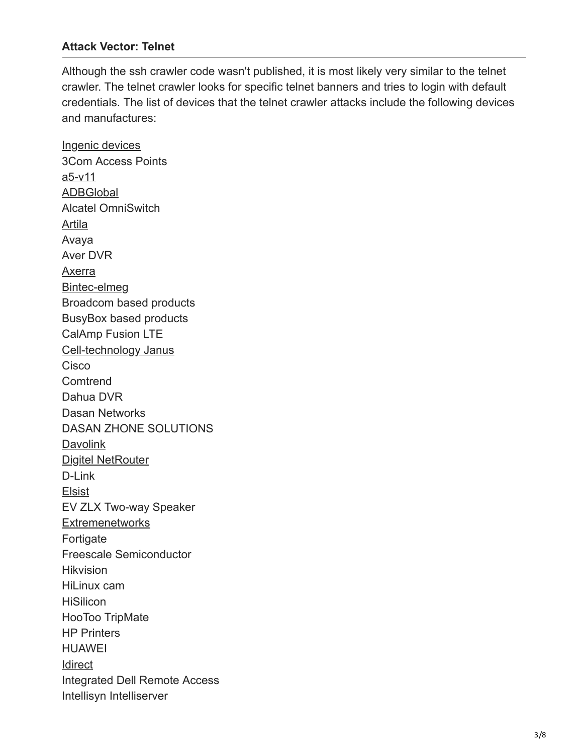#### **Attack Vector: Telnet**

Although the ssh crawler code wasn't published, it is most likely very similar to the telnet crawler. The telnet crawler looks for specific telnet banners and tries to login with default credentials. The list of devices that the telnet crawler attacks include the following devices and manufactures:

[Ingenic devices](https://www.linux-mips.org/wiki/Ingenic%20devices) 3Com Access Points [a5-v11](https://wiki.openwrt.org/toh/unbranded/a5-v11) [ADBGlobal](https://www.adbglobal.com/devices/broadband-gateways/) Alcatel OmniSwitch [Artila](https://www.artila.com/en/) Avaya Aver DVR [Axerra](http://www.typepad.com/site/blogs/6a0133f264aa62970b013488d08a70970c/compose/preview/axerra.com) [Bintec-elmeg](http://www.bintec-elmeg.com/en/home/) Broadcom based products BusyBox based products CalAmp Fusion LTE [Cell-technology Janus](http://www.cell-technology.net/product.php?product=janus) Cisco **Comtrend** Dahua DVR Dasan Networks DASAN ZHONE SOLUTIONS [Davolink](http://www.davolink.co.kr/sys/bbs/board.php?bo_table=e0301&wr_id=19) [Digitel NetRouter](http://www.digitel.com.br/en/produtos/produto.asp?Id=14) D-Link [Elsist](https://www.elsist.biz/) EV ZLX Two-way Speaker **[Extremenetworks](https://www.extremenetworks.com/product/extremexos-network-operating-system/)** Fortigate Freescale Semiconductor **Hikvision** HiLinux cam **HiSilicon** HooToo TripMate HP Printers HUAWEI **[Idirect](http://www.typepad.com/site/blogs/6a0133f264aa62970b013488d08a70970c/compose/preview/idirect.net)** Integrated Dell Remote Access Intellisyn Intelliserver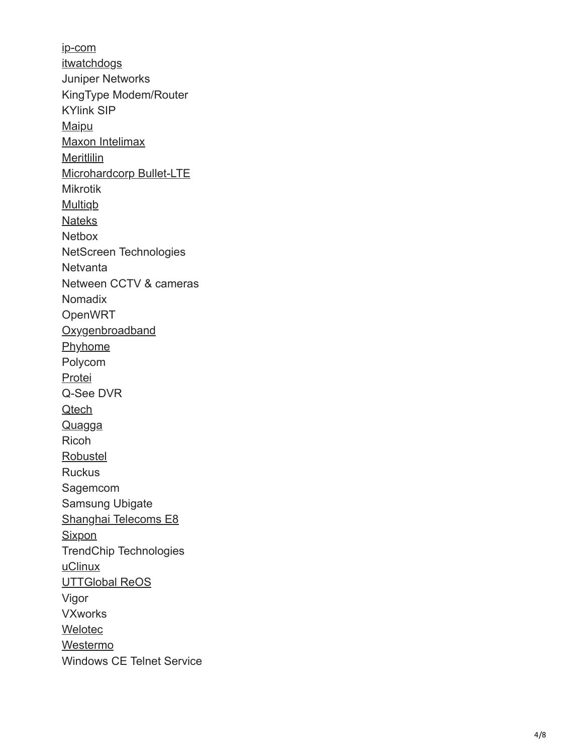[ip-com](http://www.ip-com.com.cn/en/) **[itwatchdogs](http://www.itwatchdogs.com/s_firmware_console)** Juniper Networks KingType Modem/Router KYlink SIP [Maipu](http://www.typepad.com/site/blogs/6a0133f264aa62970b013488d08a70970c/compose/preview/maipu.com) [Maxon Intelimax](https://www.maxon.com.au/products.html) [Meritlilin](https://www.meritlilin.com/) [Microhardcorp Bullet-LTE](http://www.microhardcorp.com/Bullet-LTE.php) Mikrotik [Multiqb](http://www.typepad.com/site/blogs/6a0133f264aa62970b013488d08a70970c/compose/preview/multiqb.com) [Nateks](http://www.nateks.ru/) **Netbox** NetScreen Technologies **Netvanta** Netween CCTV & cameras Nomadix OpenWR T **[Oxygenbroadband](http://www.oxygenbroadband.com/oxygen-router.html) [Phyhome](http://www.phyhome.com/)** Polycom [Protei](http://www.protei.com/) Q-See DVR **[Qtech](http://www.qtech.ru/catalog/smarthome/) [Quagga](http://www.nongnu.org/quagga/)** Ricoh [Robustel](http://www.typepad.com/site/blogs/6a0133f264aa62970b013488d08a70970c/compose/preview/robustel.com%20cellular%20modem/routers) **Ruckus** Sagemcom Samsung Ubigate [Shanghai Telecoms E8](http://www.computersolutions.cn/blog/2014/09/hacking-shanghai-telecoms-e8-wifiepon-fibre-modem/) **[Sixpon](http://www.xbest.pl/index.php?d=szukaj&producent=33)** TrendChip Technologies [uClinux](http://www.uclinux.org/pub/uClinux/FAQ.shtml#2-0) [UTTGlobal ReOS](http://www.uttglobal.com/) Vigor VXworks [Welotec](https://www.welotec.com/en/industrial-router) [Westermo](https://www.westermo.com/products/routers/wireless-routers/mrd-455) Windows CE Telnet Service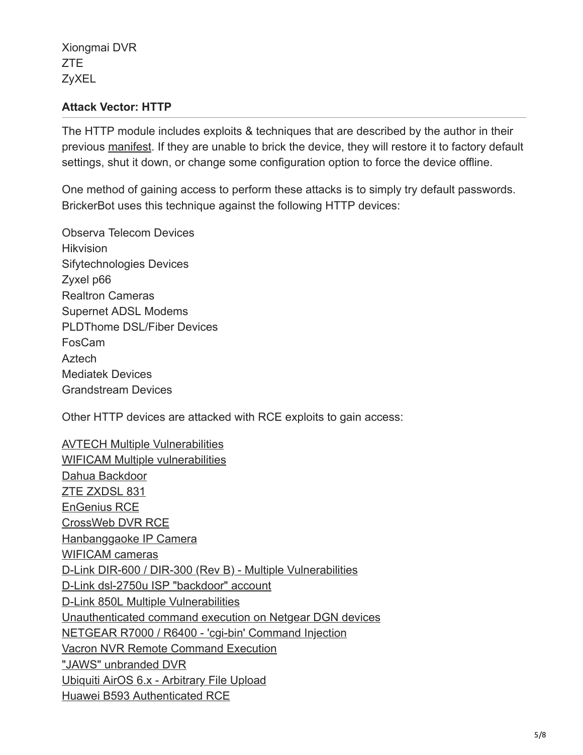Xiongmai DVR ZTE ZyXEL

#### **Attack Vector: HTTP**

The HTTP module includes exploits & techniques that are described by the author in their previous [manifest](https://github.com/JeremyNGalloway/mod_plaintext.py/blob/master/depastedihrn3jtw.onion_show.php%3Fmd5%3D62d1d87f67a8bf485d43a05ec32b1e6f). If they are unable to brick the device, they will restore it to factory default settings, shut it down, or change some configuration option to force the device offline.

One method of gaining access to perform these attacks is to simply try default passwords. BrickerBot uses this technique against the following HTTP devices:

Observa Telecom Devices **Hikvision** Sifytechnologies Devices Zyxel p66 Realtron Cameras Supernet ADSL Modems PLDThome DSL/Fiber Devices FosCam Aztech Mediatek Devices Grandstream Devices

Other HTTP devices are attacked with RCE exploits to gain access:

[AVTECH Multiple Vulnerabilities](https://www.exploit-db.com/exploits/40500/) [WIFICAM Multiple vulnerabilities](https://pierrekim.github.io/blog/2017-03-08-camera-goahead-0day.html) [Dahua Backdoor](https://github.com/mcw0/PoC/blob/master/dahua-backdoor.txt) [ZTE ZXDSL 831](https://www.exploit-db.com/exploits/43188/) [EnGenius RCE](https://www.exploit-db.com/exploits/42114/) [CrossWeb DVR RCE](http://www.kerneronsec.com/2016/02/remote-code-execution-in-cctv-dvrs-of.html) [Hanbanggaoke IP Camera](https://blogs.securiteam.com/index.php/archives/3420) [WIFICAM cameras](https://pierrekim.github.io/blog/2017-03-08-camera-goahead-0day.html) [D-Link DIR-600 / DIR-300 \(Rev B\) - Multiple Vulnerabilities](https://www.exploit-db.com/exploits/24453/) [D-Link dsl-2750u ISP "backdoor" account](http://www.stuff.za.net/2016/07/remote-access-to-a-dsl-2750u-adsl-router-a-sort-of-hack/) [D-Link 850L Multiple Vulnerabilities](http://www.palada.net/index.php/2017/08/08/news-2414/) [Unauthenticated command execution on Netgear DGN devices](http://roberto.greyhats.it/advisories/20130603-netgear-dgn.txt) [NETGEAR R7000 / R6400 - 'cgi-bin' Command Injection](https://www.exploit-db.com/exploits/41598/) [Vacron NVR Remote Command Execution](http://www.palada.net/index.php/2017/10/08/news-3522/) ["JAWS" unbranded DVR](https://www.pentestpartners.com/security-blog/pwning-cctv-cameras/) [Ubiquiti AirOS 6.x - Arbitrary File Upload](https://www.exploit-db.com/exploits/39701/) [Huawei B593 Authenticated RCE](http://blog.asiantuntijakaveri.fi/2013/08/gaining-root-shell-on-huawei-b593-4g.html)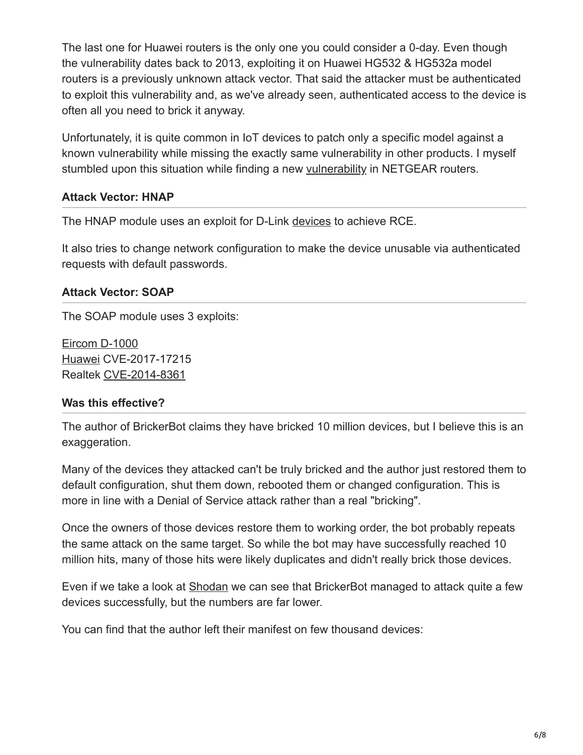The last one for Huawei routers is the only one you could consider a 0-day. Even though the vulnerability dates back to 2013, exploiting it on Huawei HG532 & HG532a model routers is a previously unknown attack vector. That said the attacker must be authenticated to exploit this vulnerability and, as we've already seen, authenticated access to the device is often all you need to brick it anyway.

Unfortunately, it is quite common in IoT devices to patch only a specific model against a known vulnerability while missing the exactly same vulnerability in other products. I myself stumbled upon this situation while finding a new [vulnerability](https://www.trustwave.com/Resources/SpiderLabs-Blog/CVE-2017-5521--Bypassing-Authentication-on-NETGEAR-Routers/) in NETGEAR routers.

#### **Attack Vector: HNAP**

The HNAP module uses an exploit for D-Link [devices](https://github.com/reverse-shell/routersploit/blob/master/routersploit/modules/exploits/routers/dlink/multi_hnap_rce.py) to achieve RCE.

It also tries to change network configuration to make the device unusable via authenticated requests with default passwords.

#### **Attack Vector: SOAP**

The SOAP module uses 3 exploits:

[Eircom D-1000](https://github.com/XiphosResearch/exploits/blob/master/tr-06fail/tr-06fail-ssh-d1000.py) [Huawei](https://blog.fortinet.com/2017/12/12/rise-of-one-more-mirai-worm-variant) CVE-2017-17215 Realtek [CVE-2014-8361](https://www.exploit-db.com/exploits/37169/)

#### **Was this effective?**

The author of BrickerBot claims they have bricked 10 million devices, but I believe this is an exaggeration.

Many of the devices they attacked can't be truly bricked and the author just restored them to default configuration, shut them down, rebooted them or changed configuration. This is more in line with a Denial of Service attack rather than a real "bricking".

Once the owners of those devices restore them to working order, the bot probably repeats the same attack on the same target. So while the bot may have successfully reached 10 million hits, many of those hits were likely duplicates and didn't really brick those devices.

Even if we take a look at [Shodan](https://www.shodan.io/) we can see that BrickerBot managed to attack quite a few devices successfully, but the numbers are far lower.

You can find that the author left their manifest on few thousand devices: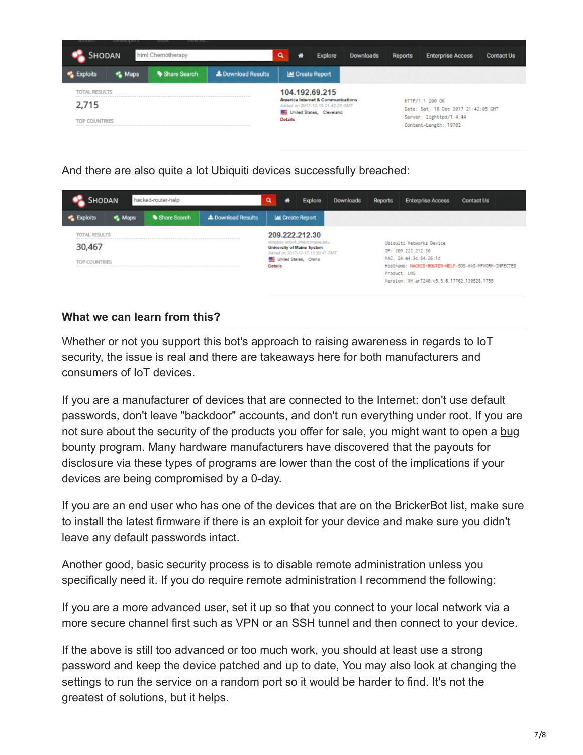

And there are also quite a lot Ubiquiti devices successfully breached:

| SHODAN<br>hacked-router-help |                |              |                           | Q<br>₩                                                                                                                   | Explore                  | Downloads | <b>Reports</b>                                                | <b>Enterprise Access</b>                                                       | <b>Contact Us</b> |  |
|------------------------------|----------------|--------------|---------------------------|--------------------------------------------------------------------------------------------------------------------------|--------------------------|-----------|---------------------------------------------------------------|--------------------------------------------------------------------------------|-------------------|--|
| xploits                      | <b>C.</b> Maps | Share Search | <b>L</b> Download Results |                                                                                                                          | <b>Lat</b> Create Report |           |                                                               |                                                                                |                   |  |
| TOTAL RESULTS                |                |              |                           |                                                                                                                          | 209.222.212.30           |           |                                                               |                                                                                |                   |  |
| 30,467                       |                |              |                           | wireless-unbo4.umext.maine.edu<br>University of Maine System<br>Added on 2017-12-17 13:30:47 GMT<br>United States, Orono |                          |           | Ubiquiti Networks Device<br>IP: 209.222.212.30                |                                                                                |                   |  |
| TOP COUNTRIES                |                |              |                           |                                                                                                                          |                          |           |                                                               | MAC: 24:a4:3c:64:26:1d<br>Hostname: HACKED-ROUTER-HELP-SOS-WAS-MFWORM-INFECTED |                   |  |
|                              |                |              |                           | <b>Details</b>                                                                                                           |                          |           |                                                               |                                                                                |                   |  |
|                              |                |              |                           |                                                                                                                          |                          |           | Product: LM5<br>Version: XM. ar7240. v5.5.6.17762.130528.1755 |                                                                                |                   |  |

## **What we can learn from this?**

Whether or not you support this bot's approach to raising awareness in regards to IoT security, the issue is real and there are takeaways here for both manufacturers and consumers of IoT devices.

If you are a manufacturer of devices that are connected to the Internet: don't use default passwords, don't leave "backdoor" accounts, and don't run everything under root. If you are [not sure about the security of the products you offer for sale, you might want to open a bug](https://en.wikipedia.org/wiki/Bug_bounty_program) bounty program. Many hardware manufacturers have discovered that the payouts for disclosure via these types of programs are lower than the cost of the implications if your devices are being compromised by a 0-day.

If you are an end user who has one of the devices that are on the BrickerBot list, make sure to install the latest firmware if there is an exploit for your device and make sure you didn't leave any default passwords intact.

Another good, basic security process is to disable remote administration unless you specifically need it. If you do require remote administration I recommend the following:

If you are a more advanced user, set it up so that you connect to your local network via a more secure channel first such as VPN or an SSH tunnel and then connect to your device.

If the above is still too advanced or too much work, you should at least use a strong password and keep the device patched and up to date, You may also look at changing the settings to run the service on a random port so it would be harder to find. It's not the greatest of solutions, but it helps.